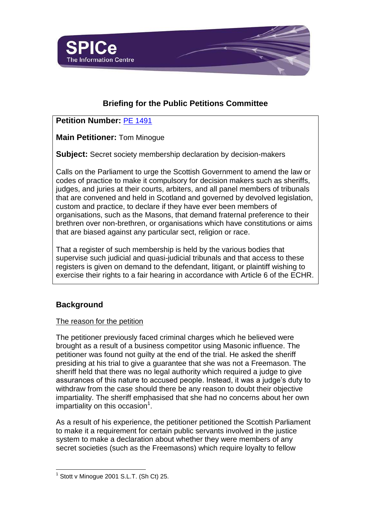

# **Briefing for the Public Petitions Committee**

## **Petition Number:** [PE 1491](http://external.scottish.parliament.uk/GettingInvolved/Petitions/judgesmasonregister)

**Main Petitioner:** Tom Minogue

**Subject:** Secret society membership declaration by decision-makers

Calls on the Parliament to urge the Scottish Government to amend the law or codes of practice to make it compulsory for decision makers such as sheriffs, judges, and juries at their courts, arbiters, and all panel members of tribunals that are convened and held in Scotland and governed by devolved legislation, custom and practice, to declare if they have ever been members of organisations, such as the Masons, that demand fraternal preference to their brethren over non-brethren, or organisations which have constitutions or aims that are biased against any particular sect, religion or race.

That a register of such membership is held by the various bodies that supervise such judicial and quasi-judicial tribunals and that access to these registers is given on demand to the defendant, litigant, or plaintiff wishing to exercise their rights to a fair hearing in accordance with Article 6 of the ECHR.

## **Background**

l

### The reason for the petition

The petitioner previously faced criminal charges which he believed were brought as a result of a business competitor using Masonic influence. The petitioner was found not guilty at the end of the trial. He asked the sheriff presiding at his trial to give a guarantee that she was not a Freemason. The sheriff held that there was no legal authority which required a judge to give assurances of this nature to accused people. Instead, it was a judge's duty to withdraw from the case should there be any reason to doubt their objective impartiality. The sheriff emphasised that she had no concerns about her own impartiality on this occasion $1$ .

As a result of his experience, the petitioner petitioned the Scottish Parliament to make it a requirement for certain public servants involved in the justice system to make a declaration about whether they were members of any secret societies (such as the Freemasons) which require loyalty to fellow

 $1$  Stott v Minogue 2001 S.L.T. (Sh Ct) 25.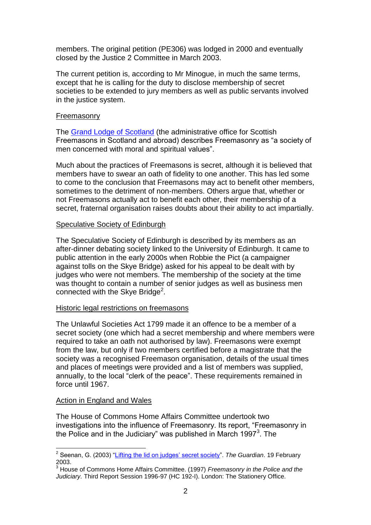members. The original petition (PE306) was lodged in 2000 and eventually closed by the Justice 2 Committee in March 2003.

The current petition is, according to Mr Minogue, in much the same terms, except that he is calling for the duty to disclose membership of secret societies to be extended to jury members as well as public servants involved in the justice system.

#### Freemasonry

The [Grand Lodge of Scotland](http://www.grandlodgescotland.com/index.php/about-masonry) (the administrative office for Scottish Freemasons in Scotland and abroad) describes Freemasonry as "a society of men concerned with moral and spiritual values".

Much about the practices of Freemasons is secret, although it is believed that members have to swear an oath of fidelity to one another. This has led some to come to the conclusion that Freemasons may act to benefit other members, sometimes to the detriment of non-members. Others argue that, whether or not Freemasons actually act to benefit each other, their membership of a secret, fraternal organisation raises doubts about their ability to act impartially.

### Speculative Society of Edinburgh

The Speculative Society of Edinburgh is described by its members as an after-dinner debating society linked to the University of Edinburgh. It came to public attention in the early 2000s when Robbie the Pict (a campaigner against tolls on the Skye Bridge) asked for his appeal to be dealt with by judges who were not members. The membership of the society at the time was thought to contain a number of senior judges as well as business men connected with the Skye Bridge $^2$ .

### Historic legal restrictions on freemasons

The Unlawful Societies Act 1799 made it an offence to be a member of a secret society (one which had a secret membership and where members were required to take an oath not authorised by law). Freemasons were exempt from the law, but only if two members certified before a magistrate that the society was a recognised Freemason organisation, details of the usual times and places of meetings were provided and a list of members was supplied, annually, to the local "clerk of the peace". These requirements remained in force until 1967.

### Action in England and Wales

The House of Commons Home Affairs Committee undertook two investigations into the influence of Freemasonry. Its report, "Freemasonry in the Police and in the Judiciary" was published in March 1997 $3$ . The

 2 Seenan, G. (2003) ["Lifting the lid on judges' secret society"](http://www.theguardian.com/uk/2003/feb/19/ukcrime.humanrights). *The Guardian*. 19 February 2003.

<sup>3</sup> House of Commons Home Affairs Committee. (1997) *Freemasonry in the Police and the Judiciary.* Third Report Session 1996-97 (HC 192-I). London: The Stationery Office.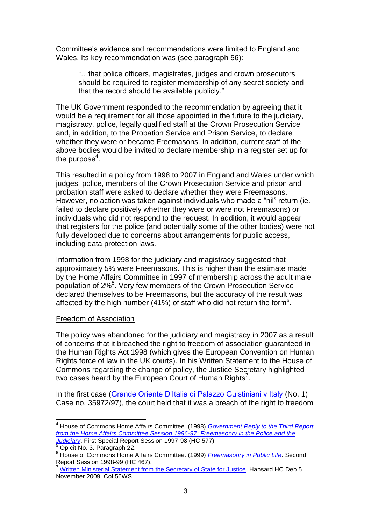Committee's evidence and recommendations were limited to England and Wales. Its key recommendation was (see paragraph 56):

"…that police officers, magistrates, judges and crown prosecutors should be required to register membership of any secret society and that the record should be available publicly."

The UK Government responded to the recommendation by agreeing that it would be a requirement for all those appointed in the future to the judiciary, magistracy, police, legally qualified staff at the Crown Prosecution Service and, in addition, to the Probation Service and Prison Service, to declare whether they were or became Freemasons. In addition, current staff of the above bodies would be invited to declare membership in a register set up for the purpose<sup>4</sup>.

This resulted in a policy from 1998 to 2007 in England and Wales under which judges, police, members of the Crown Prosecution Service and prison and probation staff were asked to declare whether they were Freemasons. However, no action was taken against individuals who made a "nil" return (ie. failed to declare positively whether they were or were not Freemasons) or individuals who did not respond to the request. In addition, it would appear that registers for the police (and potentially some of the other bodies) were not fully developed due to concerns about arrangements for public access, including data protection laws.

Information from 1998 for the judiciary and magistracy suggested that approximately 5% were Freemasons. This is higher than the estimate made by the Home Affairs Committee in 1997 of membership across the adult male population of 2%<sup>5</sup>. Very few members of the Crown Prosecution Service declared themselves to be Freemasons, but the accuracy of the result was affected by the high number (41%) of staff who did not return the form<sup>6</sup>.

#### Freedom of Association

The policy was abandoned for the judiciary and magistracy in 2007 as a result of concerns that it breached the right to freedom of association guaranteed in the Human Rights Act 1998 (which gives the European Convention on Human Rights force of law in the UK courts). In his Written Statement to the House of Commons regarding the change of policy, the Justice Secretary highlighted two cases heard by the European Court of Human Rights<sup>7</sup>.

In the first case [\(Grande Oriente D'Italia di Palazzo Guistiniani v Italy](http://hudoc.echr.coe.int/sites/eng/Pages/search.aspx#{"appno":["35972/97"],"itemid":["001-59623"]}) (No. 1) Case no. 35972/97), the court held that it was a breach of the right to freedom

l <sup>4</sup> House of Commons Home Affairs Committee. (1998) *[Government Reply to the Third Report](http://www.publications.parliament.uk/pa/cm199899/cmselect/cmhaff/80/8001.htm)  [from the Home Affairs Committee Session 1996-97: Freemasonry in the Police and the](http://www.publications.parliament.uk/pa/cm199899/cmselect/cmhaff/80/8001.htm)  [Judiciary](http://www.publications.parliament.uk/pa/cm199899/cmselect/cmhaff/80/8001.htm)*. First Special Report Session 1997-98 (HC 577).

 $5$  Op cit No. 3. Paragraph 22.

<sup>6</sup> House of Commons Home Affairs Committee. (1999) *[Freemasonry in Public Life](http://www.publications.parliament.uk/pa/cm199899/cmselect/cmhaff/467/46702.htm)*. Second Report Session 1998-99 (HC 467).

<sup>&</sup>lt;sup>7</sup> [Written Ministerial Statement from the Secretary of State for Justice.](http://www.publications.parliament.uk/pa/cm200809/cmhansrd/cm091105/wmstext/91105m0002.htm#09110553000015) Hansard HC Deb 5 November 2009. Col 56WS.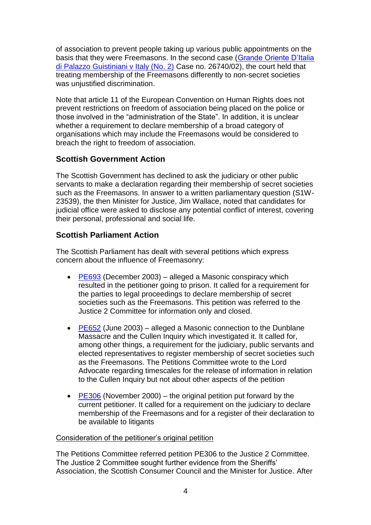of association to prevent people taking up various public appointments on the basis that they were Freemasons. In the second case [\(Grande Oriente D'Italia](http://hudoc.echr.coe.int/sites/eng/Pages/search.aspx#{"itemid":["002-2727"]})  [di Palazzo Guistiniani v Italy \(No. 2\)](http://hudoc.echr.coe.int/sites/eng/Pages/search.aspx#{"itemid":["002-2727"]}) Case no. 26740/02), the court held that treating membership of the Freemasons differently to non-secret societies was unjustified discrimination.

Note that article 11 of the European Convention on Human Rights does not prevent restrictions on freedom of association being placed on the police or those involved in the "administration of the State". In addition, it is unclear whether a requirement to declare membership of a broad category of organisations which may include the Freemasons would be considered to breach the right to freedom of association.

## **Scottish Government Action**

The Scottish Government has declined to ask the judiciary or other public servants to make a declaration regarding their membership of secret societies such as the Freemasons. In answer to a written parliamentary question (S1W-23539), the then Minister for Justice, Jim Wallace, noted that candidates for judicial office were asked to disclose any potential conflict of interest, covering their personal, professional and social life.

## **Scottish Parliament Action**

The Scottish Parliament has dealt with several petitions which express concern about the influence of Freemasonry:

- [PE693](http://archive.scottish.parliament.uk/business/petitions/docs/PE693.htm) (December 2003) alleged a Masonic conspiracy which resulted in the petitioner going to prison. It called for a requirement for the parties to legal proceedings to declare membership of secret societies such as the Freemasons. This petition was referred to the Justice 2 Committee for information only and closed.
- $\cdot$  [PE652](http://archive.scottish.parliament.uk/business/petitions/docs/PE652.htm) (June 2003) alleged a Masonic connection to the Dunblane Massacre and the Cullen Inquiry which investigated it. It called for, among other things, a requirement for the judiciary, public servants and elected representatives to register membership of secret societies such as the Freemasons. The Petitions Committee wrote to the Lord Advocate regarding timescales for the release of information in relation to the Cullen Inquiry but not about other aspects of the petition
- $\cdot$  [PE306](http://archive.scottish.parliament.uk/business/petitions/docs/PE306.htm) (November 2000) the original petition put forward by the current petitioner. It called for a requirement on the judiciary to declare membership of the Freemasons and for a register of their declaration to be available to litigants

### Consideration of the petitioner's original petition

The Petitions Committee referred petition PE306 to the Justice 2 Committee. The Justice 2 Committee sought further evidence from the Sheriffs' Association, the Scottish Consumer Council and the Minister for Justice. After